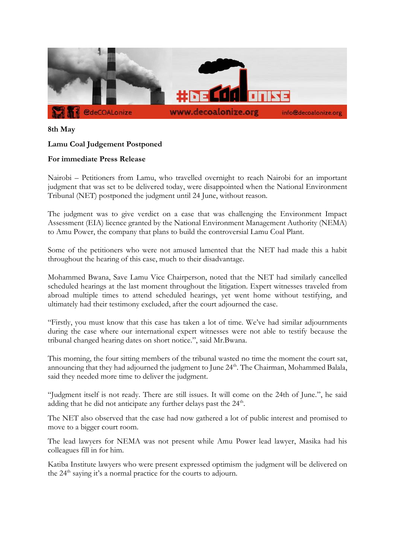

**8th May**

## **Lamu Coal Judgement Postponed**

## **For immediate Press Release**

Nairobi – Petitioners from Lamu, who travelled overnight to reach Nairobi for an important judgment that was set to be delivered today, were disappointed when the National Environment Tribunal (NET) postponed the judgment until 24 June, without reason.

The judgment was to give verdict on a case that was challenging the Environment Impact Assessment (EIA) licence granted by the National Environment Management Authority (NEMA) to Amu Power, the company that plans to build the controversial Lamu Coal Plant.

Some of the petitioners who were not amused lamented that the NET had made this a habit throughout the hearing of this case, much to their disadvantage.

Mohammed Bwana, Save Lamu Vice Chairperson, noted that the NET had similarly cancelled scheduled hearings at the last moment throughout the litigation. Expert witnesses traveled from abroad multiple times to attend scheduled hearings, yet went home without testifying, and ultimately had their testimony excluded, after the court adjourned the case.

"Firstly, you must know that this case has taken a lot of time. We've had similar adjournments during the case where our international expert witnesses were not able to testify because the tribunal changed hearing dates on short notice.", said Mr.Bwana.

This morning, the four sitting members of the tribunal wasted no time the moment the court sat, announcing that they had adjourned the judgment to June 24<sup>th</sup>. The Chairman, Mohammed Balala, said they needed more time to deliver the judgment.

"Judgment itself is not ready. There are still issues. It will come on the 24th of June.", he said adding that he did not anticipate any further delays past the  $24<sup>th</sup>$ .

The NET also observed that the case had now gathered a lot of public interest and promised to move to a bigger court room.

The lead lawyers for NEMA was not present while Amu Power lead lawyer, Masika had his colleagues fill in for him.

Katiba Institute lawyers who were present expressed optimism the judgment will be delivered on the 24<sup>th</sup> saying it's a normal practice for the courts to adjourn.